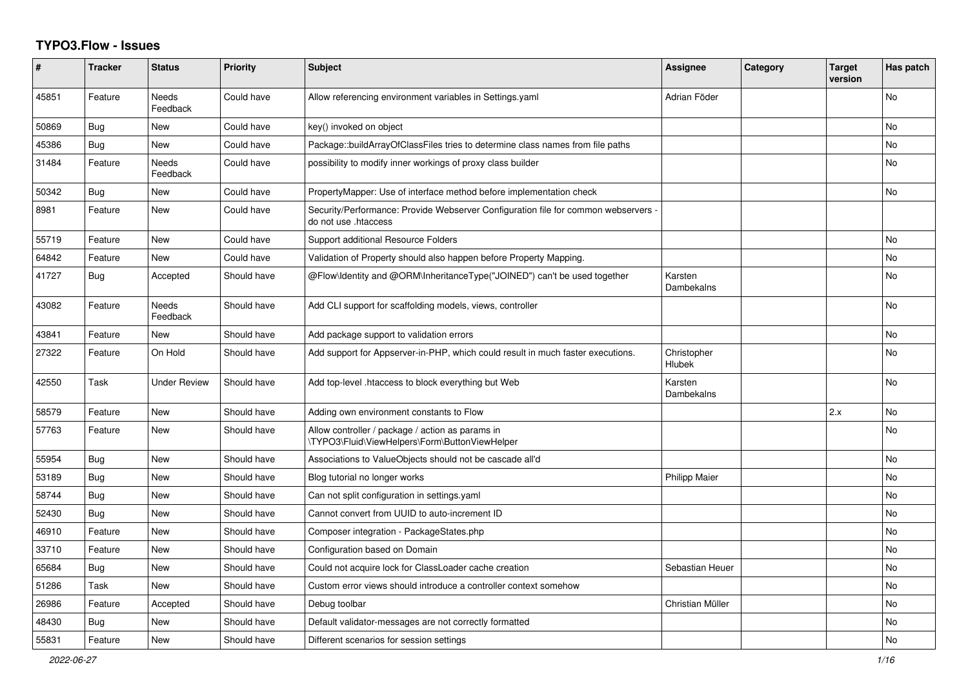## **TYPO3.Flow - Issues**

| #     | <b>Tracker</b> | <b>Status</b>            | <b>Priority</b> | <b>Subject</b>                                                                                           | <b>Assignee</b>       | Category | <b>Target</b><br>version | Has patch      |
|-------|----------------|--------------------------|-----------------|----------------------------------------------------------------------------------------------------------|-----------------------|----------|--------------------------|----------------|
| 45851 | Feature        | <b>Needs</b><br>Feedback | Could have      | Allow referencing environment variables in Settings yaml                                                 | Adrian Föder          |          |                          | No             |
| 50869 | <b>Bug</b>     | <b>New</b>               | Could have      | key() invoked on object                                                                                  |                       |          |                          | No             |
| 45386 | Bug            | <b>New</b>               | Could have      | Package::buildArrayOfClassFiles tries to determine class names from file paths                           |                       |          |                          | No             |
| 31484 | Feature        | Needs<br>Feedback        | Could have      | possibility to modify inner workings of proxy class builder                                              |                       |          |                          | No             |
| 50342 | <b>Bug</b>     | <b>New</b>               | Could have      | PropertyMapper: Use of interface method before implementation check                                      |                       |          |                          | <b>No</b>      |
| 8981  | Feature        | <b>New</b>               | Could have      | Security/Performance: Provide Webserver Configuration file for common webservers<br>do not use .htaccess |                       |          |                          |                |
| 55719 | Feature        | <b>New</b>               | Could have      | Support additional Resource Folders                                                                      |                       |          |                          | N <sub>o</sub> |
| 64842 | Feature        | New                      | Could have      | Validation of Property should also happen before Property Mapping.                                       |                       |          |                          | No             |
| 41727 | Bug            | Accepted                 | Should have     | @Flow\Identity and @ORM\InheritanceType("JOINED") can't be used together                                 | Karsten<br>Dambekalns |          |                          | No             |
| 43082 | Feature        | Needs<br>Feedback        | Should have     | Add CLI support for scaffolding models, views, controller                                                |                       |          |                          | No             |
| 43841 | Feature        | New                      | Should have     | Add package support to validation errors                                                                 |                       |          |                          | No.            |
| 27322 | Feature        | On Hold                  | Should have     | Add support for Appserver-in-PHP, which could result in much faster executions.                          | Christopher<br>Hlubek |          |                          | No.            |
| 42550 | Task           | <b>Under Review</b>      | Should have     | Add top-level .htaccess to block everything but Web                                                      | Karsten<br>Dambekalns |          |                          | No             |
| 58579 | Feature        | <b>New</b>               | Should have     | Adding own environment constants to Flow                                                                 |                       |          | 2.x                      | No             |
| 57763 | Feature        | <b>New</b>               | Should have     | Allow controller / package / action as params in<br>\TYPO3\Fluid\ViewHelpers\Form\ButtonViewHelper       |                       |          |                          | No             |
| 55954 | Bug            | <b>New</b>               | Should have     | Associations to ValueObjects should not be cascade all'd                                                 |                       |          |                          | N <sub>o</sub> |
| 53189 | Bug            | <b>New</b>               | Should have     | Blog tutorial no longer works                                                                            | <b>Philipp Maier</b>  |          |                          | No             |
| 58744 | Bug            | New                      | Should have     | Can not split configuration in settings yaml                                                             |                       |          |                          | No             |
| 52430 | Bug            | New                      | Should have     | Cannot convert from UUID to auto-increment ID                                                            |                       |          |                          | No             |
| 46910 | Feature        | New                      | Should have     | Composer integration - PackageStates.php                                                                 |                       |          |                          | No.            |
| 33710 | Feature        | <b>New</b>               | Should have     | Configuration based on Domain                                                                            |                       |          |                          | No.            |
| 65684 | Bug            | <b>New</b>               | Should have     | Could not acquire lock for ClassLoader cache creation                                                    | Sebastian Heuer       |          |                          | No             |
| 51286 | Task           | <b>New</b>               | Should have     | Custom error views should introduce a controller context somehow                                         |                       |          |                          | No             |
| 26986 | Feature        | Accepted                 | Should have     | Debug toolbar                                                                                            | Christian Müller      |          |                          | No             |
| 48430 | Bug            | <b>New</b>               | Should have     | Default validator-messages are not correctly formatted                                                   |                       |          |                          | No             |
| 55831 | Feature        | <b>New</b>               | Should have     | Different scenarios for session settings                                                                 |                       |          |                          | <b>No</b>      |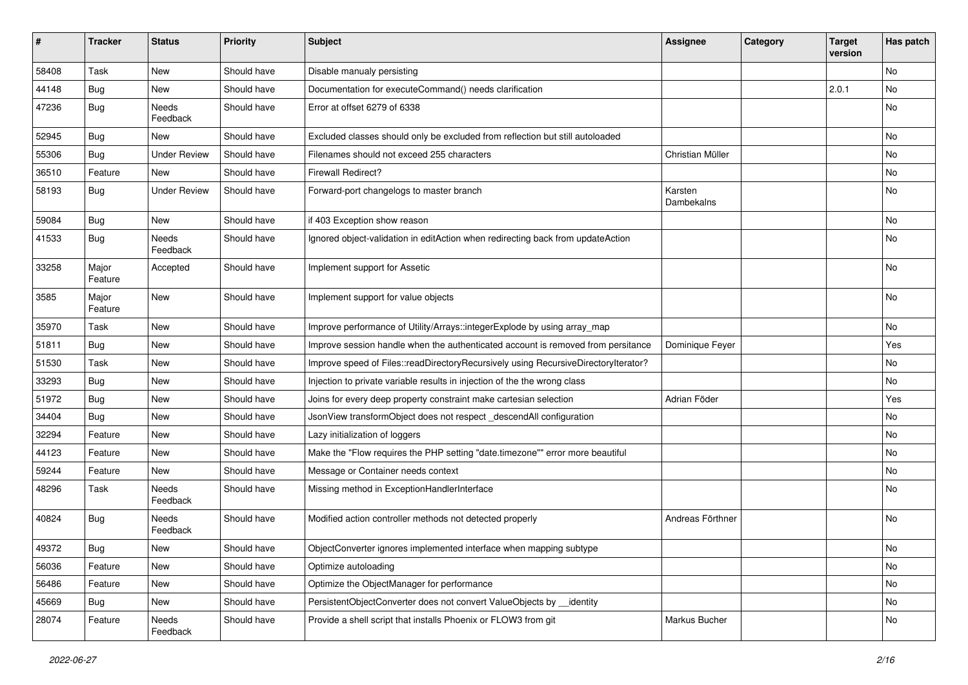| ∦     | <b>Tracker</b>   | <b>Status</b>       | <b>Priority</b> | <b>Subject</b>                                                                     | <b>Assignee</b>       | Category | <b>Target</b><br>version | Has patch     |
|-------|------------------|---------------------|-----------------|------------------------------------------------------------------------------------|-----------------------|----------|--------------------------|---------------|
| 58408 | Task             | <b>New</b>          | Should have     | Disable manualy persisting                                                         |                       |          |                          | <b>No</b>     |
| 44148 | <b>Bug</b>       | New                 | Should have     | Documentation for executeCommand() needs clarification                             |                       |          | 2.0.1                    | <b>No</b>     |
| 47236 | <b>Bug</b>       | Needs<br>Feedback   | Should have     | Error at offset 6279 of 6338                                                       |                       |          |                          | No            |
| 52945 | Bug              | <b>New</b>          | Should have     | Excluded classes should only be excluded from reflection but still autoloaded      |                       |          |                          | <b>No</b>     |
| 55306 | <b>Bug</b>       | <b>Under Review</b> | Should have     | Filenames should not exceed 255 characters                                         | Christian Müller      |          |                          | <b>No</b>     |
| 36510 | Feature          | New                 | Should have     | <b>Firewall Redirect?</b>                                                          |                       |          |                          | No            |
| 58193 | <b>Bug</b>       | <b>Under Review</b> | Should have     | Forward-port changelogs to master branch                                           | Karsten<br>Dambekalns |          |                          | No            |
| 59084 | <b>Bug</b>       | <b>New</b>          | Should have     | if 403 Exception show reason                                                       |                       |          |                          | <b>No</b>     |
| 41533 | <b>Bug</b>       | Needs<br>Feedback   | Should have     | Ignored object-validation in editAction when redirecting back from updateAction    |                       |          |                          | No            |
| 33258 | Major<br>Feature | Accepted            | Should have     | Implement support for Assetic                                                      |                       |          |                          | No            |
| 3585  | Major<br>Feature | <b>New</b>          | Should have     | Implement support for value objects                                                |                       |          |                          | <b>No</b>     |
| 35970 | Task             | <b>New</b>          | Should have     | Improve performance of Utility/Arrays::integerExplode by using array_map           |                       |          |                          | <b>No</b>     |
| 51811 | <b>Bug</b>       | New                 | Should have     | Improve session handle when the authenticated account is removed from persitance   | Dominique Feyer       |          |                          | Yes           |
| 51530 | Task             | New                 | Should have     | Improve speed of Files::readDirectoryRecursively using RecursiveDirectoryIterator? |                       |          |                          | No            |
| 33293 | Bug              | <b>New</b>          | Should have     | Injection to private variable results in injection of the the wrong class          |                       |          |                          | No            |
| 51972 | <b>Bug</b>       | New                 | Should have     | Joins for every deep property constraint make cartesian selection                  | Adrian Föder          |          |                          | Yes           |
| 34404 | <b>Bug</b>       | New                 | Should have     | JsonView transformObject does not respect_descendAll configuration                 |                       |          |                          | No            |
| 32294 | Feature          | <b>New</b>          | Should have     | Lazy initialization of loggers                                                     |                       |          |                          | No            |
| 44123 | Feature          | New                 | Should have     | Make the "Flow requires the PHP setting "date.timezone"" error more beautiful      |                       |          |                          | <b>No</b>     |
| 59244 | Feature          | New                 | Should have     | Message or Container needs context                                                 |                       |          |                          | No            |
| 48296 | Task             | Needs<br>Feedback   | Should have     | Missing method in ExceptionHandlerInterface                                        |                       |          |                          | <b>No</b>     |
| 40824 | Bug              | Needs<br>Feedback   | Should have     | Modified action controller methods not detected properly                           | Andreas Förthner      |          |                          | <b>No</b>     |
| 49372 | <b>Bug</b>       | New                 | Should have     | ObjectConverter ignores implemented interface when mapping subtype                 |                       |          |                          | $\mathsf{No}$ |
| 56036 | Feature          | New                 | Should have     | Optimize autoloading                                                               |                       |          |                          | No            |
| 56486 | Feature          | New                 | Should have     | Optimize the ObjectManager for performance                                         |                       |          |                          | No            |
| 45669 | <b>Bug</b>       | New                 | Should have     | PersistentObjectConverter does not convert ValueObjects by _identity               |                       |          |                          | No            |
| 28074 | Feature          | Needs<br>Feedback   | Should have     | Provide a shell script that installs Phoenix or FLOW3 from git                     | Markus Bucher         |          |                          | No            |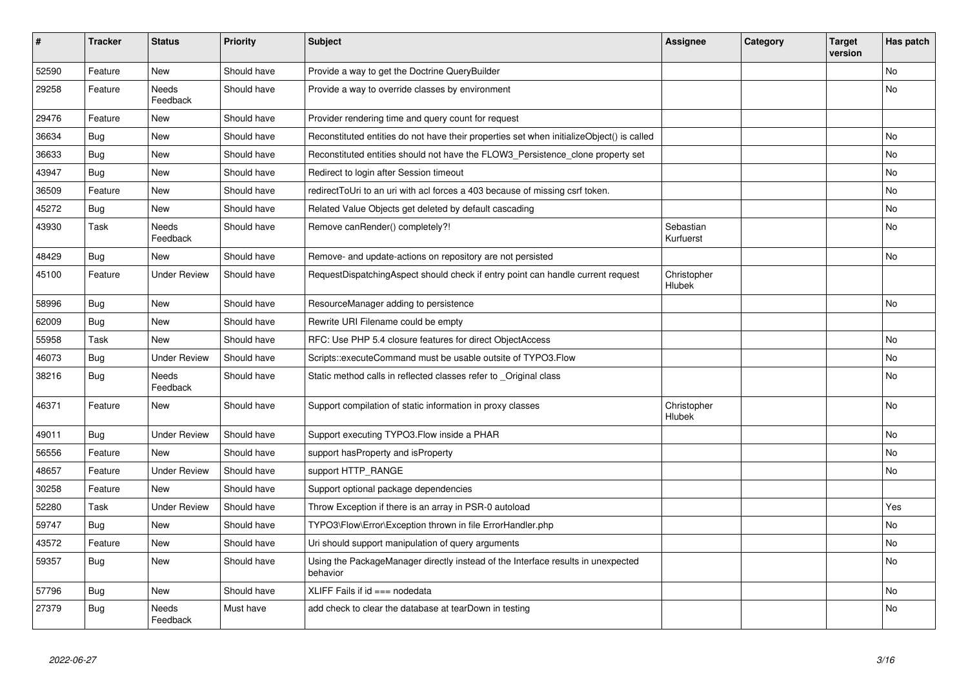| #     | <b>Tracker</b> | <b>Status</b>            | <b>Priority</b> | <b>Subject</b>                                                                               | <b>Assignee</b>              | Category | <b>Target</b><br>version | Has patch |
|-------|----------------|--------------------------|-----------------|----------------------------------------------------------------------------------------------|------------------------------|----------|--------------------------|-----------|
| 52590 | Feature        | <b>New</b>               | Should have     | Provide a way to get the Doctrine QueryBuilder                                               |                              |          |                          | <b>No</b> |
| 29258 | Feature        | Needs<br>Feedback        | Should have     | Provide a way to override classes by environment                                             |                              |          |                          | <b>No</b> |
| 29476 | Feature        | <b>New</b>               | Should have     | Provider rendering time and query count for request                                          |                              |          |                          |           |
| 36634 | Bug            | <b>New</b>               | Should have     | Reconstituted entities do not have their properties set when initializeObject() is called    |                              |          |                          | <b>No</b> |
| 36633 | <b>Bug</b>     | New                      | Should have     | Reconstituted entities should not have the FLOW3 Persistence clone property set              |                              |          |                          | No        |
| 43947 | Bug            | <b>New</b>               | Should have     | Redirect to login after Session timeout                                                      |                              |          |                          | No        |
| 36509 | Feature        | <b>New</b>               | Should have     | redirectToUri to an uri with acl forces a 403 because of missing csrf token.                 |                              |          |                          | <b>No</b> |
| 45272 | <b>Bug</b>     | New                      | Should have     | Related Value Objects get deleted by default cascading                                       |                              |          |                          | <b>No</b> |
| 43930 | Task           | Needs<br>Feedback        | Should have     | Remove canRender() completely?!                                                              | Sebastian<br>Kurfuerst       |          |                          | No        |
| 48429 | Bug            | <b>New</b>               | Should have     | Remove- and update-actions on repository are not persisted                                   |                              |          |                          | <b>No</b> |
| 45100 | Feature        | <b>Under Review</b>      | Should have     | RequestDispatchingAspect should check if entry point can handle current request              | Christopher<br><b>Hlubek</b> |          |                          |           |
| 58996 | <b>Bug</b>     | New                      | Should have     | ResourceManager adding to persistence                                                        |                              |          |                          | No        |
| 62009 | <b>Bug</b>     | <b>New</b>               | Should have     | Rewrite URI Filename could be empty                                                          |                              |          |                          |           |
| 55958 | Task           | <b>New</b>               | Should have     | RFC: Use PHP 5.4 closure features for direct ObjectAccess                                    |                              |          |                          | <b>No</b> |
| 46073 | Bug            | <b>Under Review</b>      | Should have     | Scripts::executeCommand must be usable outsite of TYPO3.Flow                                 |                              |          |                          | No        |
| 38216 | Bug            | <b>Needs</b><br>Feedback | Should have     | Static method calls in reflected classes refer to _Original class                            |                              |          |                          | <b>No</b> |
| 46371 | Feature        | New                      | Should have     | Support compilation of static information in proxy classes                                   | Christopher<br>Hlubek        |          |                          | No        |
| 49011 | <b>Bug</b>     | <b>Under Review</b>      | Should have     | Support executing TYPO3. Flow inside a PHAR                                                  |                              |          |                          | No        |
| 56556 | Feature        | <b>New</b>               | Should have     | support has Property and is Property                                                         |                              |          |                          | <b>No</b> |
| 48657 | Feature        | <b>Under Review</b>      | Should have     | support HTTP RANGE                                                                           |                              |          |                          | No        |
| 30258 | Feature        | New                      | Should have     | Support optional package dependencies                                                        |                              |          |                          |           |
| 52280 | Task           | <b>Under Review</b>      | Should have     | Throw Exception if there is an array in PSR-0 autoload                                       |                              |          |                          | Yes       |
| 59747 | <b>Bug</b>     | <b>New</b>               | Should have     | TYPO3\Flow\Error\Exception thrown in file ErrorHandler.php                                   |                              |          |                          | No        |
| 43572 | Feature        | <b>New</b>               | Should have     | Uri should support manipulation of query arguments                                           |                              |          |                          | No        |
| 59357 | Bug            | New                      | Should have     | Using the PackageManager directly instead of the Interface results in unexpected<br>behavior |                              |          |                          | <b>No</b> |
| 57796 | Bug            | New                      | Should have     | XLIFF Fails if id === nodedata                                                               |                              |          |                          | No        |
| 27379 | <b>Bug</b>     | Needs<br>Feedback        | Must have       | add check to clear the database at tearDown in testing                                       |                              |          |                          | No        |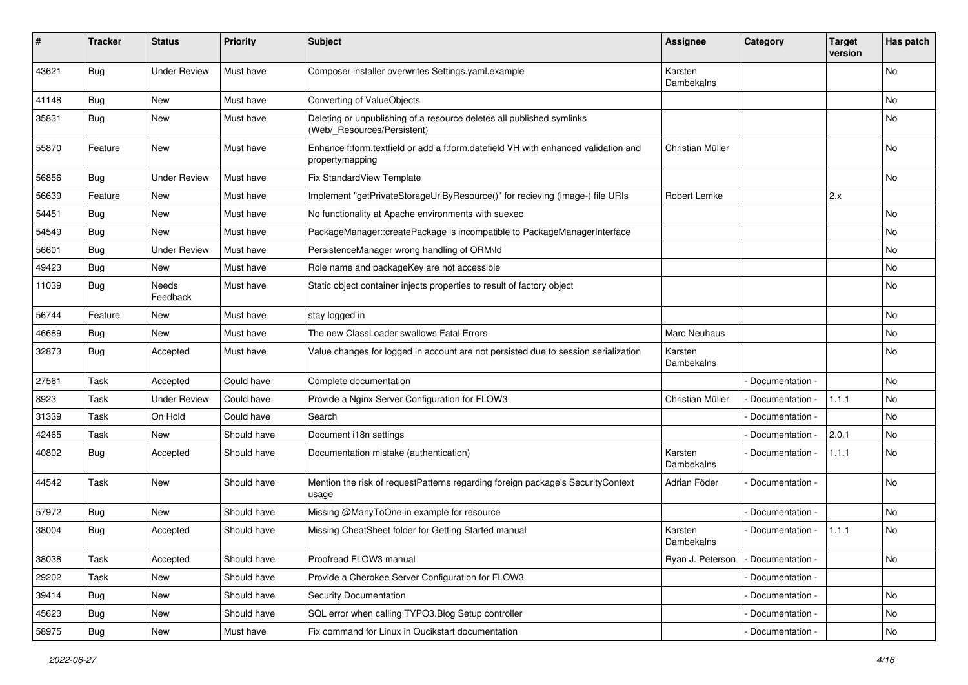| #     | <b>Tracker</b> | <b>Status</b>       | <b>Priority</b> | <b>Subject</b>                                                                                        | <b>Assignee</b>       | Category          | <b>Target</b><br>version | Has patch |
|-------|----------------|---------------------|-----------------|-------------------------------------------------------------------------------------------------------|-----------------------|-------------------|--------------------------|-----------|
| 43621 | Bug            | <b>Under Review</b> | Must have       | Composer installer overwrites Settings.yaml.example                                                   | Karsten<br>Dambekalns |                   |                          | <b>No</b> |
| 41148 | Bug            | New                 | Must have       | Converting of ValueObjects                                                                            |                       |                   |                          | No        |
| 35831 | <b>Bug</b>     | New                 | Must have       | Deleting or unpublishing of a resource deletes all published symlinks<br>(Web/_Resources/Persistent)  |                       |                   |                          | No        |
| 55870 | Feature        | New                 | Must have       | Enhance f:form.textfield or add a f:form.datefield VH with enhanced validation and<br>propertymapping | Christian Müller      |                   |                          | <b>No</b> |
| 56856 | <b>Bug</b>     | <b>Under Review</b> | Must have       | Fix StandardView Template                                                                             |                       |                   |                          | <b>No</b> |
| 56639 | Feature        | New                 | Must have       | Implement "getPrivateStorageUriByResource()" for recieving (image-) file URIs                         | Robert Lemke          |                   | 2.x                      |           |
| 54451 | <b>Bug</b>     | New                 | Must have       | No functionality at Apache environments with suexec                                                   |                       |                   |                          | <b>No</b> |
| 54549 | Bug            | New                 | Must have       | PackageManager::createPackage is incompatible to PackageManagerInterface                              |                       |                   |                          | No        |
| 56601 | <b>Bug</b>     | <b>Under Review</b> | Must have       | PersistenceManager wrong handling of ORM\ld                                                           |                       |                   |                          | No        |
| 49423 | Bug            | New                 | Must have       | Role name and packageKey are not accessible                                                           |                       |                   |                          | No        |
| 11039 | <b>Bug</b>     | Needs<br>Feedback   | Must have       | Static object container injects properties to result of factory object                                |                       |                   |                          | No        |
| 56744 | Feature        | New                 | Must have       | stay logged in                                                                                        |                       |                   |                          | <b>No</b> |
| 46689 | <b>Bug</b>     | New                 | Must have       | The new ClassLoader swallows Fatal Errors                                                             | Marc Neuhaus          |                   |                          | No        |
| 32873 | <b>Bug</b>     | Accepted            | Must have       | Value changes for logged in account are not persisted due to session serialization                    | Karsten<br>Dambekalns |                   |                          | No        |
| 27561 | Task           | Accepted            | Could have      | Complete documentation                                                                                |                       | Documentation -   |                          | <b>No</b> |
| 8923  | Task           | <b>Under Review</b> | Could have      | Provide a Nginx Server Configuration for FLOW3                                                        | Christian Müller      | Documentation -   | 1.1.1                    | No        |
| 31339 | Task           | On Hold             | Could have      | Search                                                                                                |                       | Documentation -   |                          | <b>No</b> |
| 42465 | Task           | New                 | Should have     | Document i18n settings                                                                                |                       | Documentation -   | 2.0.1                    | No.       |
| 40802 | Bug            | Accepted            | Should have     | Documentation mistake (authentication)                                                                | Karsten<br>Dambekalns | Documentation -   | 1.1.1                    | <b>No</b> |
| 44542 | Task           | <b>New</b>          | Should have     | Mention the risk of requestPatterns regarding foreign package's SecurityContext<br>usage              | Adrian Föder          | Documentation -   |                          | <b>No</b> |
| 57972 | <b>Bug</b>     | New                 | Should have     | Missing @ManyToOne in example for resource                                                            |                       | Documentation -   |                          | No        |
| 38004 | <b>Bug</b>     | Accepted            | Should have     | Missing CheatSheet folder for Getting Started manual                                                  | Karsten<br>Dambekalns | Documentation -   | 1.1.1                    | No        |
| 38038 | Task           | Accepted            | Should have     | Proofread FLOW3 manual                                                                                | Ryan J. Peterson      | - Documentation - |                          | No        |
| 29202 | Task           | New                 | Should have     | Provide a Cherokee Server Configuration for FLOW3                                                     |                       | Documentation -   |                          |           |
| 39414 | Bug            | New                 | Should have     | <b>Security Documentation</b>                                                                         |                       | Documentation -   |                          | No        |
| 45623 | Bug            | New                 | Should have     | SQL error when calling TYPO3.Blog Setup controller                                                    |                       | Documentation -   |                          | No        |
| 58975 | Bug            | New                 | Must have       | Fix command for Linux in Qucikstart documentation                                                     |                       | Documentation -   |                          | No        |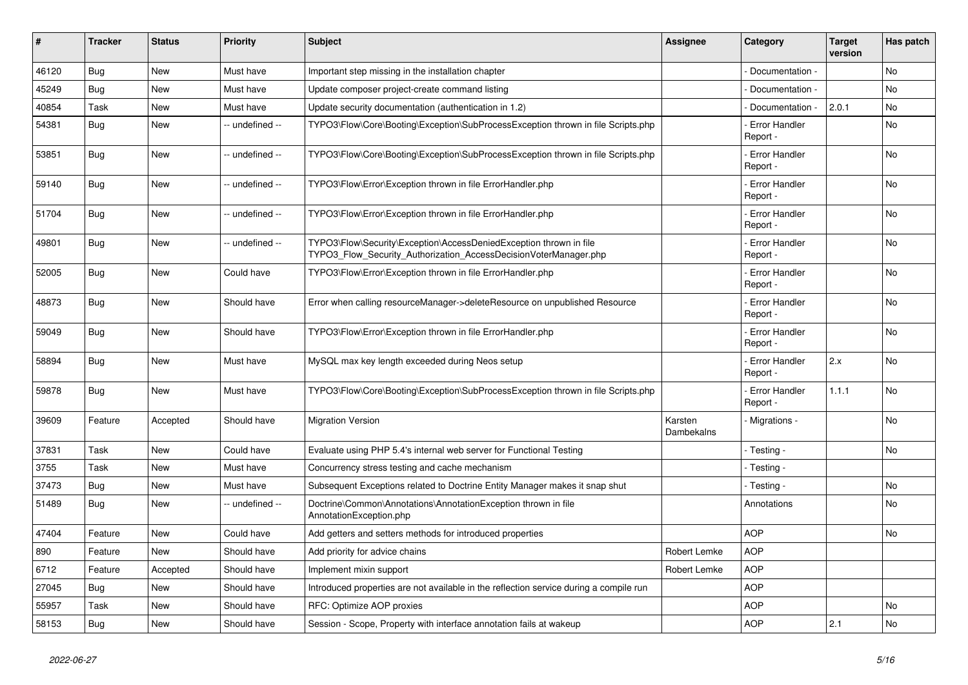| #     | <b>Tracker</b> | <b>Status</b> | <b>Priority</b> | <b>Subject</b>                                                                                                                         | <b>Assignee</b>       | Category                         | <b>Target</b><br>version | Has patch |
|-------|----------------|---------------|-----------------|----------------------------------------------------------------------------------------------------------------------------------------|-----------------------|----------------------------------|--------------------------|-----------|
| 46120 | Bug            | <b>New</b>    | Must have       | Important step missing in the installation chapter                                                                                     |                       | Documentation -                  |                          | <b>No</b> |
| 45249 | Bug            | <b>New</b>    | Must have       | Update composer project-create command listing                                                                                         |                       | Documentation -                  |                          | No        |
| 40854 | Task           | New           | Must have       | Update security documentation (authentication in 1.2)                                                                                  |                       | Documentation -                  | 2.0.1                    | No        |
| 54381 | <b>Bug</b>     | <b>New</b>    | -- undefined -- | TYPO3\Flow\Core\Booting\Exception\SubProcessException thrown in file Scripts.php                                                       |                       | <b>Error Handler</b><br>Report - |                          | No        |
| 53851 | Bug            | <b>New</b>    | -- undefined -- | TYPO3\Flow\Core\Booting\Exception\SubProcessException thrown in file Scripts.php                                                       |                       | Error Handler<br>Report -        |                          | No        |
| 59140 | Bug            | <b>New</b>    | -- undefined -- | TYPO3\Flow\Error\Exception thrown in file ErrorHandler.php                                                                             |                       | <b>Error Handler</b><br>Report - |                          | No        |
| 51704 | <b>Bug</b>     | <b>New</b>    | - undefined --  | TYPO3\Flow\Error\Exception thrown in file ErrorHandler.php                                                                             |                       | <b>Error Handler</b><br>Report - |                          | No        |
| 49801 | Bug            | <b>New</b>    | -- undefined -- | TYPO3\Flow\Security\Exception\AccessDeniedException thrown in file<br>TYPO3 Flow Security Authorization AccessDecisionVoterManager.php |                       | <b>Error Handler</b><br>Report - |                          | <b>No</b> |
| 52005 | Bug            | New           | Could have      | TYPO3\Flow\Error\Exception thrown in file ErrorHandler.php                                                                             |                       | <b>Error Handler</b><br>Report - |                          | No        |
| 48873 | Bug            | <b>New</b>    | Should have     | Error when calling resourceManager->deleteResource on unpublished Resource                                                             |                       | <b>Error Handler</b><br>Report - |                          | No        |
| 59049 | <b>Bug</b>     | <b>New</b>    | Should have     | TYPO3\Flow\Error\Exception thrown in file ErrorHandler.php                                                                             |                       | <b>Error Handler</b><br>Report - |                          | <b>No</b> |
| 58894 | Bug            | <b>New</b>    | Must have       | MySQL max key length exceeded during Neos setup                                                                                        |                       | Error Handler<br>Report -        | 2.x                      | No        |
| 59878 | Bug            | <b>New</b>    | Must have       | TYPO3\Flow\Core\Booting\Exception\SubProcessException thrown in file Scripts.php                                                       |                       | <b>Error Handler</b><br>Report - | 1.1.1                    | <b>No</b> |
| 39609 | Feature        | Accepted      | Should have     | <b>Migration Version</b>                                                                                                               | Karsten<br>Dambekalns | Migrations -                     |                          | <b>No</b> |
| 37831 | Task           | <b>New</b>    | Could have      | Evaluate using PHP 5.4's internal web server for Functional Testing                                                                    |                       | - Testing -                      |                          | No        |
| 3755  | Task           | New           | Must have       | Concurrency stress testing and cache mechanism                                                                                         |                       | Testing -                        |                          |           |
| 37473 | Bug            | New           | Must have       | Subsequent Exceptions related to Doctrine Entity Manager makes it snap shut                                                            |                       | - Testing -                      |                          | No        |
| 51489 | <b>Bug</b>     | <b>New</b>    | -- undefined -- | Doctrine\Common\Annotations\AnnotationException thrown in file<br>AnnotationException.php                                              |                       | Annotations                      |                          | <b>No</b> |
| 47404 | Feature        | New           | Could have      | Add getters and setters methods for introduced properties                                                                              |                       | <b>AOP</b>                       |                          | <b>No</b> |
| 890   | Feature        | New           | Should have     | Add priority for advice chains                                                                                                         | Robert Lemke          | <b>AOP</b>                       |                          |           |
| 6712  | Feature        | Accepted      | Should have     | Implement mixin support                                                                                                                | Robert Lemke          | <b>AOP</b>                       |                          |           |
| 27045 | Bug            | <b>New</b>    | Should have     | Introduced properties are not available in the reflection service during a compile run                                                 |                       | <b>AOP</b>                       |                          |           |
| 55957 | Task           | New           | Should have     | RFC: Optimize AOP proxies                                                                                                              |                       | <b>AOP</b>                       |                          | No        |
| 58153 | Bug            | New           | Should have     | Session - Scope, Property with interface annotation fails at wakeup                                                                    |                       | <b>AOP</b>                       | 2.1                      | No        |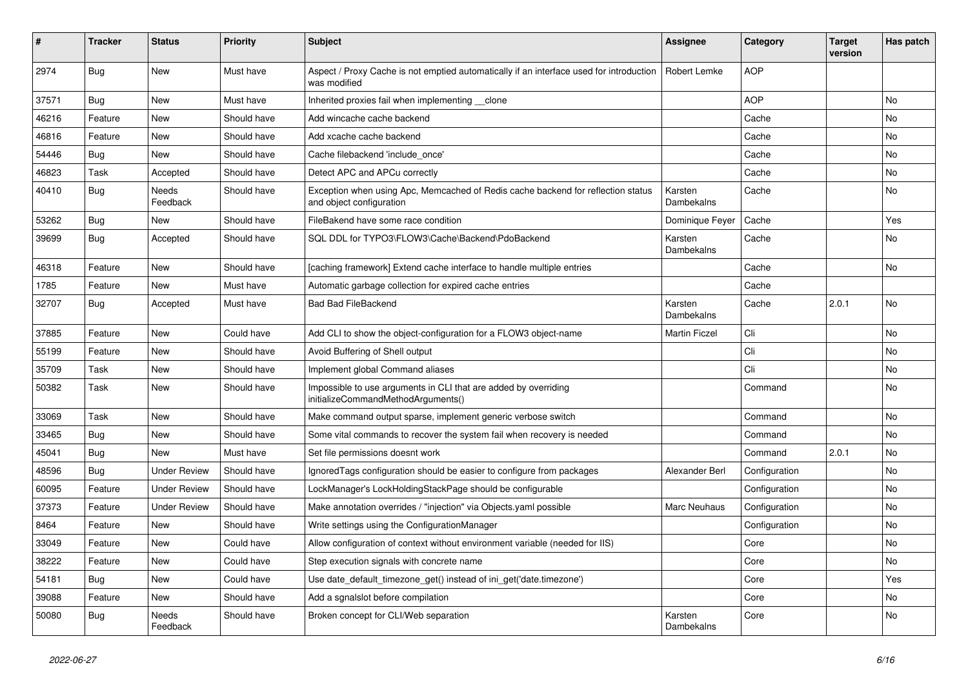| #     | <b>Tracker</b> | <b>Status</b>       | <b>Priority</b> | <b>Subject</b>                                                                                               | <b>Assignee</b>       | Category      | <b>Target</b><br>version | Has patch      |
|-------|----------------|---------------------|-----------------|--------------------------------------------------------------------------------------------------------------|-----------------------|---------------|--------------------------|----------------|
| 2974  | Bug            | <b>New</b>          | Must have       | Aspect / Proxy Cache is not emptied automatically if an interface used for introduction<br>was modified      | <b>Robert Lemke</b>   | <b>AOP</b>    |                          |                |
| 37571 | <b>Bug</b>     | <b>New</b>          | Must have       | Inherited proxies fail when implementing __clone                                                             |                       | <b>AOP</b>    |                          | <b>No</b>      |
| 46216 | Feature        | <b>New</b>          | Should have     | Add wincache cache backend                                                                                   |                       | Cache         |                          | <b>No</b>      |
| 46816 | Feature        | <b>New</b>          | Should have     | Add xcache cache backend                                                                                     |                       | Cache         |                          | <b>No</b>      |
| 54446 | Bug            | <b>New</b>          | Should have     | Cache filebackend 'include once'                                                                             |                       | Cache         |                          | No             |
| 46823 | Task           | Accepted            | Should have     | Detect APC and APCu correctly                                                                                |                       | Cache         |                          | No             |
| 40410 | <b>Bug</b>     | Needs<br>Feedback   | Should have     | Exception when using Apc, Memcached of Redis cache backend for reflection status<br>and object configuration | Karsten<br>Dambekalns | Cache         |                          | No             |
| 53262 | <b>Bug</b>     | New                 | Should have     | FileBakend have some race condition                                                                          | Dominique Feyer       | Cache         |                          | Yes            |
| 39699 | <b>Bug</b>     | Accepted            | Should have     | SQL DDL for TYPO3\FLOW3\Cache\Backend\PdoBackend                                                             | Karsten<br>Dambekalns | Cache         |                          | No             |
| 46318 | Feature        | <b>New</b>          | Should have     | [caching framework] Extend cache interface to handle multiple entries                                        |                       | Cache         |                          | <b>No</b>      |
| 1785  | Feature        | <b>New</b>          | Must have       | Automatic garbage collection for expired cache entries                                                       |                       | Cache         |                          |                |
| 32707 | <b>Bug</b>     | Accepted            | Must have       | <b>Bad Bad FileBackend</b>                                                                                   | Karsten<br>Dambekalns | Cache         | 2.0.1                    | <b>No</b>      |
| 37885 | Feature        | New                 | Could have      | Add CLI to show the object-configuration for a FLOW3 object-name                                             | <b>Martin Ficzel</b>  | Cli           |                          | No             |
| 55199 | Feature        | New                 | Should have     | Avoid Buffering of Shell output                                                                              |                       | Cli           |                          | No             |
| 35709 | Task           | New                 | Should have     | Implement global Command aliases                                                                             |                       | Cli           |                          | No             |
| 50382 | Task           | New                 | Should have     | Impossible to use arguments in CLI that are added by overriding<br>initializeCommandMethodArguments()        |                       | Command       |                          | No             |
| 33069 | Task           | <b>New</b>          | Should have     | Make command output sparse, implement generic verbose switch                                                 |                       | Command       |                          | N <sub>o</sub> |
| 33465 | Bug            | <b>New</b>          | Should have     | Some vital commands to recover the system fail when recovery is needed                                       |                       | Command       |                          | <b>No</b>      |
| 45041 | <b>Bug</b>     | <b>New</b>          | Must have       | Set file permissions doesnt work                                                                             |                       | Command       | 2.0.1                    | N <sub>o</sub> |
| 48596 | <b>Bug</b>     | <b>Under Review</b> | Should have     | Ignored Tags configuration should be easier to configure from packages                                       | Alexander Berl        | Configuration |                          | N <sub>o</sub> |
| 60095 | Feature        | <b>Under Review</b> | Should have     | LockManager's LockHoldingStackPage should be configurable                                                    |                       | Configuration |                          | <b>No</b>      |
| 37373 | Feature        | <b>Under Review</b> | Should have     | Make annotation overrides / "injection" via Objects yaml possible                                            | Marc Neuhaus          | Configuration |                          | <b>No</b>      |
| 8464  | Feature        | <b>New</b>          | Should have     | Write settings using the ConfigurationManager                                                                |                       | Configuration |                          | <b>No</b>      |
| 33049 | Feature        | <b>New</b>          | Could have      | Allow configuration of context without environment variable (needed for IIS)                                 |                       | Core          |                          | No             |
| 38222 | Feature        | <b>New</b>          | Could have      | Step execution signals with concrete name                                                                    |                       | Core          |                          | No             |
| 54181 | Bug            | <b>New</b>          | Could have      | Use date_default_timezone_get() instead of ini_get('date.timezone')                                          |                       | Core          |                          | Yes            |
| 39088 | Feature        | <b>New</b>          | Should have     | Add a sgnalslot before compilation                                                                           |                       | Core          |                          | No             |
| 50080 | Bug            | Needs<br>Feedback   | Should have     | Broken concept for CLI/Web separation                                                                        | Karsten<br>Dambekalns | Core          |                          | No             |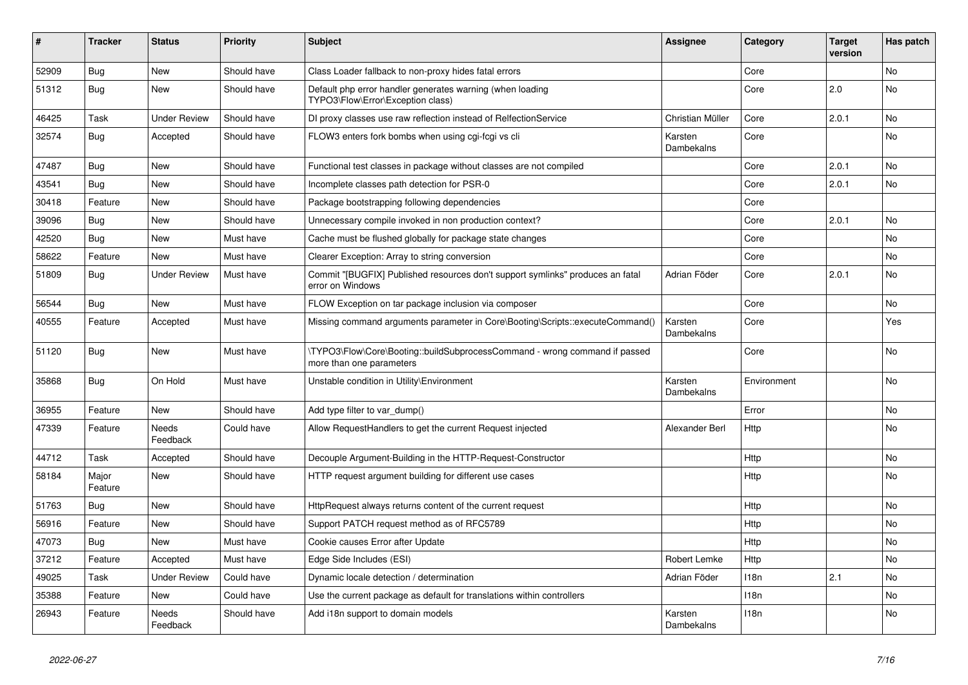| #     | <b>Tracker</b>   | <b>Status</b>       | <b>Priority</b> | <b>Subject</b>                                                                                         | <b>Assignee</b>              | Category         | <b>Target</b><br>version | Has patch |
|-------|------------------|---------------------|-----------------|--------------------------------------------------------------------------------------------------------|------------------------------|------------------|--------------------------|-----------|
| 52909 | Bug              | <b>New</b>          | Should have     | Class Loader fallback to non-proxy hides fatal errors                                                  |                              | Core             |                          | <b>No</b> |
| 51312 | Bug              | <b>New</b>          | Should have     | Default php error handler generates warning (when loading<br>TYPO3\Flow\Error\Exception class)         |                              | Core             | 2.0                      | <b>No</b> |
| 46425 | Task             | <b>Under Review</b> | Should have     | DI proxy classes use raw reflection instead of RelfectionService                                       | Christian Müller             | Core             | 2.0.1                    | <b>No</b> |
| 32574 | <b>Bug</b>       | Accepted            | Should have     | FLOW3 enters fork bombs when using cgi-fcgi vs cli                                                     | Karsten<br>Dambekalns        | Core             |                          | <b>No</b> |
| 47487 | Bug              | New                 | Should have     | Functional test classes in package without classes are not compiled                                    |                              | Core             | 2.0.1                    | No        |
| 43541 | Bug              | <b>New</b>          | Should have     | Incomplete classes path detection for PSR-0                                                            |                              | Core             | 2.0.1                    | No        |
| 30418 | Feature          | <b>New</b>          | Should have     | Package bootstrapping following dependencies                                                           |                              | Core             |                          |           |
| 39096 | <b>Bug</b>       | New                 | Should have     | Unnecessary compile invoked in non production context?                                                 |                              | Core             | 2.0.1                    | No        |
| 42520 | <b>Bug</b>       | <b>New</b>          | Must have       | Cache must be flushed globally for package state changes                                               |                              | Core             |                          | <b>No</b> |
| 58622 | Feature          | <b>New</b>          | Must have       | Clearer Exception: Array to string conversion                                                          |                              | Core             |                          | <b>No</b> |
| 51809 | Bug              | <b>Under Review</b> | Must have       | Commit "[BUGFIX] Published resources don't support symlinks" produces an fatal<br>error on Windows     | Adrian Föder                 | Core             | 2.0.1                    | No        |
| 56544 | Bug              | <b>New</b>          | Must have       | FLOW Exception on tar package inclusion via composer                                                   |                              | Core             |                          | <b>No</b> |
| 40555 | Feature          | Accepted            | Must have       | Missing command arguments parameter in Core\Booting\Scripts::executeCommand()                          | Karsten<br>Dambekalns        | Core             |                          | Yes       |
| 51120 | <b>Bug</b>       | New                 | Must have       | \TYPO3\Flow\Core\Booting::buildSubprocessCommand - wrong command if passed<br>more than one parameters |                              | Core             |                          | No        |
| 35868 | Bug              | On Hold             | Must have       | Unstable condition in Utility\Environment                                                              | Karsten<br>Dambekalns        | Environment      |                          | No        |
| 36955 | Feature          | <b>New</b>          | Should have     | Add type filter to var dump()                                                                          |                              | Error            |                          | <b>No</b> |
| 47339 | Feature          | Needs<br>Feedback   | Could have      | Allow RequestHandlers to get the current Request injected                                              | Alexander Berl               | Http             |                          | No        |
| 44712 | Task             | Accepted            | Should have     | Decouple Argument-Building in the HTTP-Request-Constructor                                             |                              | Http             |                          | No        |
| 58184 | Major<br>Feature | <b>New</b>          | Should have     | HTTP request argument building for different use cases                                                 |                              | Http             |                          | No        |
| 51763 | Bug              | <b>New</b>          | Should have     | HttpRequest always returns content of the current request                                              |                              | Http             |                          | No        |
| 56916 | Feature          | <b>New</b>          | Should have     | Support PATCH request method as of RFC5789                                                             |                              | Http             |                          | No        |
| 47073 | Bug              | New                 | Must have       | Cookie causes Error after Update                                                                       |                              | Http             |                          | No        |
| 37212 | Feature          | Accepted            | Must have       | Edge Side Includes (ESI)                                                                               | Robert Lemke                 | Http             |                          | No        |
| 49025 | Task             | <b>Under Review</b> | Could have      | Dynamic locale detection / determination                                                               | Adrian Föder                 | 118 <sub>n</sub> | 2.1                      | <b>No</b> |
| 35388 | Feature          | New                 | Could have      | Use the current package as default for translations within controllers                                 |                              | 118n             |                          | No        |
| 26943 | Feature          | Needs<br>Feedback   | Should have     | Add i18n support to domain models                                                                      | Karsten<br><b>Dambekalns</b> | 118n             |                          | No        |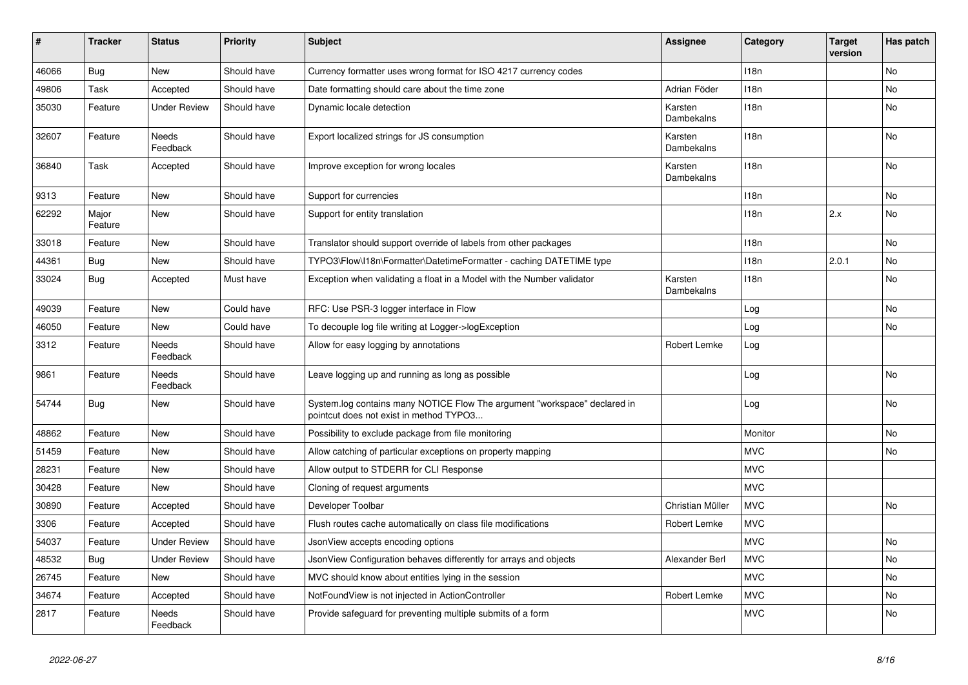| #     | <b>Tracker</b>   | <b>Status</b>            | <b>Priority</b> | <b>Subject</b>                                                                                                       | <b>Assignee</b>       | Category         | <b>Target</b><br>version | Has patch      |
|-------|------------------|--------------------------|-----------------|----------------------------------------------------------------------------------------------------------------------|-----------------------|------------------|--------------------------|----------------|
| 46066 | <b>Bug</b>       | <b>New</b>               | Should have     | Currency formatter uses wrong format for ISO 4217 currency codes                                                     |                       | 118n             |                          | <b>No</b>      |
| 49806 | Task             | Accepted                 | Should have     | Date formatting should care about the time zone                                                                      | Adrian Föder          | 118 <sub>n</sub> |                          | No             |
| 35030 | Feature          | <b>Under Review</b>      | Should have     | Dynamic locale detection                                                                                             | Karsten<br>Dambekalns | 118n             |                          | No             |
| 32607 | Feature          | <b>Needs</b><br>Feedback | Should have     | Export localized strings for JS consumption                                                                          | Karsten<br>Dambekalns | 118n             |                          | <b>No</b>      |
| 36840 | Task             | Accepted                 | Should have     | Improve exception for wrong locales                                                                                  | Karsten<br>Dambekalns | 118 <sub>n</sub> |                          | No             |
| 9313  | Feature          | <b>New</b>               | Should have     | Support for currencies                                                                                               |                       | 118 <sub>n</sub> |                          | No             |
| 62292 | Major<br>Feature | <b>New</b>               | Should have     | Support for entity translation                                                                                       |                       | 118n             | 2.x                      | No             |
| 33018 | Feature          | <b>New</b>               | Should have     | Translator should support override of labels from other packages                                                     |                       | 118 <sub>n</sub> |                          | <b>No</b>      |
| 44361 | <b>Bug</b>       | <b>New</b>               | Should have     | TYPO3\Flow\I18n\Formatter\DatetimeFormatter - caching DATETIME type                                                  |                       | 118n             | 2.0.1                    | N <sub>o</sub> |
| 33024 | Bug              | Accepted                 | Must have       | Exception when validating a float in a Model with the Number validator                                               | Karsten<br>Dambekalns | 118n             |                          | No             |
| 49039 | Feature          | <b>New</b>               | Could have      | RFC: Use PSR-3 logger interface in Flow                                                                              |                       | Log              |                          | No             |
| 46050 | Feature          | New                      | Could have      | To decouple log file writing at Logger->logException                                                                 |                       | Log              |                          | No             |
| 3312  | Feature          | Needs<br>Feedback        | Should have     | Allow for easy logging by annotations                                                                                | Robert Lemke          | Log              |                          |                |
| 9861  | Feature          | Needs<br>Feedback        | Should have     | Leave logging up and running as long as possible                                                                     |                       | Log              |                          | No             |
| 54744 | Bug              | New                      | Should have     | System.log contains many NOTICE Flow The argument "workspace" declared in<br>pointcut does not exist in method TYPO3 |                       | Log              |                          | No             |
| 48862 | Feature          | New                      | Should have     | Possibility to exclude package from file monitoring                                                                  |                       | Monitor          |                          | No             |
| 51459 | Feature          | <b>New</b>               | Should have     | Allow catching of particular exceptions on property mapping                                                          |                       | <b>MVC</b>       |                          | No             |
| 28231 | Feature          | <b>New</b>               | Should have     | Allow output to STDERR for CLI Response                                                                              |                       | <b>MVC</b>       |                          |                |
| 30428 | Feature          | <b>New</b>               | Should have     | Cloning of request arguments                                                                                         |                       | <b>MVC</b>       |                          |                |
| 30890 | Feature          | Accepted                 | Should have     | Developer Toolbar                                                                                                    | Christian Müller      | <b>MVC</b>       |                          | <b>No</b>      |
| 3306  | Feature          | Accepted                 | Should have     | Flush routes cache automatically on class file modifications                                                         | Robert Lemke          | <b>MVC</b>       |                          |                |
| 54037 | Feature          | <b>Under Review</b>      | Should have     | JsonView accepts encoding options                                                                                    |                       | <b>MVC</b>       |                          | No             |
| 48532 | <b>Bug</b>       | <b>Under Review</b>      | Should have     | JsonView Configuration behaves differently for arrays and objects                                                    | Alexander Berl        | <b>MVC</b>       |                          | N <sub>o</sub> |
| 26745 | Feature          | <b>New</b>               | Should have     | MVC should know about entities lying in the session                                                                  |                       | <b>MVC</b>       |                          | No.            |
| 34674 | Feature          | Accepted                 | Should have     | NotFoundView is not injected in ActionController                                                                     | Robert Lemke          | <b>MVC</b>       |                          | No             |
| 2817  | Feature          | Needs<br>Feedback        | Should have     | Provide safeguard for preventing multiple submits of a form                                                          |                       | <b>MVC</b>       |                          | No             |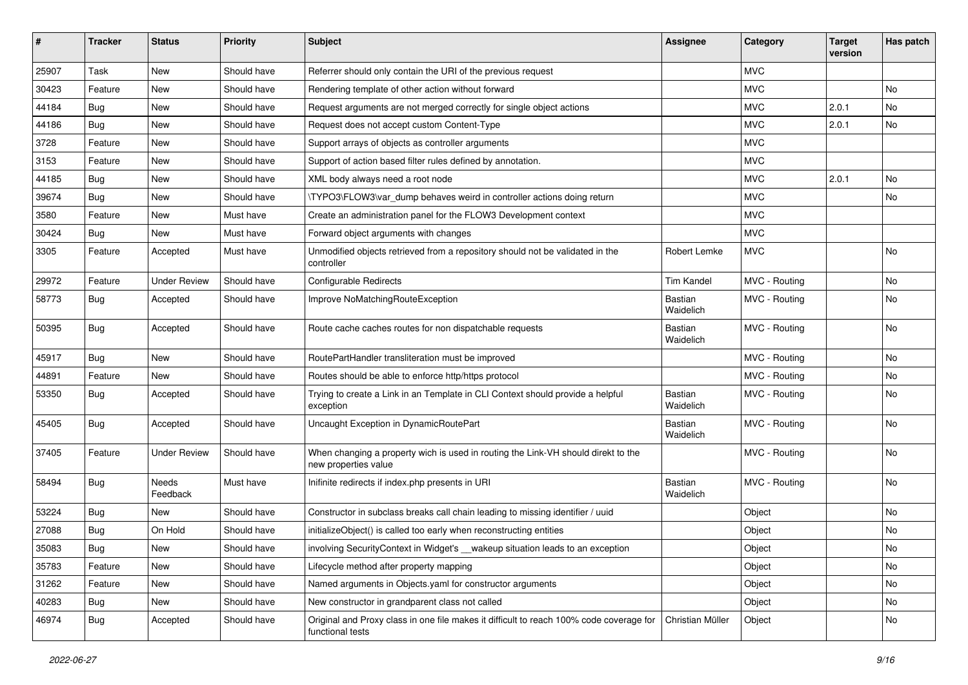| ∦     | <b>Tracker</b> | <b>Status</b>       | <b>Priority</b> | <b>Subject</b>                                                                                              | <b>Assignee</b>             | Category      | <b>Target</b><br>version | Has patch |
|-------|----------------|---------------------|-----------------|-------------------------------------------------------------------------------------------------------------|-----------------------------|---------------|--------------------------|-----------|
| 25907 | Task           | New                 | Should have     | Referrer should only contain the URI of the previous request                                                |                             | <b>MVC</b>    |                          |           |
| 30423 | Feature        | New                 | Should have     | Rendering template of other action without forward                                                          |                             | <b>MVC</b>    |                          | <b>No</b> |
| 44184 | <b>Bug</b>     | New                 | Should have     | Request arguments are not merged correctly for single object actions                                        |                             | <b>MVC</b>    | 2.0.1                    | No        |
| 44186 | Bug            | New                 | Should have     | Request does not accept custom Content-Type                                                                 |                             | <b>MVC</b>    | 2.0.1                    | No        |
| 3728  | Feature        | New                 | Should have     | Support arrays of objects as controller arguments                                                           |                             | <b>MVC</b>    |                          |           |
| 3153  | Feature        | New                 | Should have     | Support of action based filter rules defined by annotation.                                                 |                             | MVC           |                          |           |
| 44185 | <b>Bug</b>     | New                 | Should have     | XML body always need a root node                                                                            |                             | <b>MVC</b>    | 2.0.1                    | No        |
| 39674 | Bug            | New                 | Should have     | \TYPO3\FLOW3\var_dump behaves weird in controller actions doing return                                      |                             | MVC           |                          | No        |
| 3580  | Feature        | New                 | Must have       | Create an administration panel for the FLOW3 Development context                                            |                             | <b>MVC</b>    |                          |           |
| 30424 | <b>Bug</b>     | New                 | Must have       | Forward object arguments with changes                                                                       |                             | MVC.          |                          |           |
| 3305  | Feature        | Accepted            | Must have       | Unmodified objects retrieved from a repository should not be validated in the<br>controller                 | Robert Lemke                | <b>MVC</b>    |                          | No        |
| 29972 | Feature        | <b>Under Review</b> | Should have     | Configurable Redirects                                                                                      | <b>Tim Kandel</b>           | MVC - Routing |                          | No        |
| 58773 | <b>Bug</b>     | Accepted            | Should have     | Improve NoMatchingRouteException                                                                            | Bastian<br>Waidelich        | MVC - Routing |                          | No        |
| 50395 | <b>Bug</b>     | Accepted            | Should have     | Route cache caches routes for non dispatchable requests                                                     | Bastian<br>Waidelich        | MVC - Routing |                          | <b>No</b> |
| 45917 | <b>Bug</b>     | <b>New</b>          | Should have     | RoutePartHandler transliteration must be improved                                                           |                             | MVC - Routing |                          | <b>No</b> |
| 44891 | Feature        | New                 | Should have     | Routes should be able to enforce http/https protocol                                                        |                             | MVC - Routing |                          | No        |
| 53350 | Bug            | Accepted            | Should have     | Trying to create a Link in an Template in CLI Context should provide a helpful<br>exception                 | Bastian<br>Waidelich        | MVC - Routing |                          | No        |
| 45405 | <b>Bug</b>     | Accepted            | Should have     | Uncaught Exception in DynamicRoutePart                                                                      | <b>Bastian</b><br>Waidelich | MVC - Routing |                          | No        |
| 37405 | Feature        | <b>Under Review</b> | Should have     | When changing a property wich is used in routing the Link-VH should direkt to the<br>new properties value   |                             | MVC - Routing |                          | No        |
| 58494 | <b>Bug</b>     | Needs<br>Feedback   | Must have       | Inifinite redirects if index.php presents in URI                                                            | <b>Bastian</b><br>Waidelich | MVC - Routing |                          | No        |
| 53224 | <b>Bug</b>     | New                 | Should have     | Constructor in subclass breaks call chain leading to missing identifier / uuid                              |                             | Object        |                          | No        |
| 27088 | <b>Bug</b>     | On Hold             | Should have     | initializeObject() is called too early when reconstructing entities                                         |                             | Object        |                          | No        |
| 35083 | <b>Bug</b>     | New                 | Should have     | involving SecurityContext in Widget's __wakeup situation leads to an exception                              |                             | Object        |                          | No        |
| 35783 | Feature        | New                 | Should have     | Lifecycle method after property mapping                                                                     |                             | Object        |                          | No        |
| 31262 | Feature        | New                 | Should have     | Named arguments in Objects.yaml for constructor arguments                                                   |                             | Object        |                          | No        |
| 40283 | Bug            | New                 | Should have     | New constructor in grandparent class not called                                                             |                             | Object        |                          | No        |
| 46974 | <b>Bug</b>     | Accepted            | Should have     | Original and Proxy class in one file makes it difficult to reach 100% code coverage for<br>functional tests | Christian Müller            | Object        |                          | No        |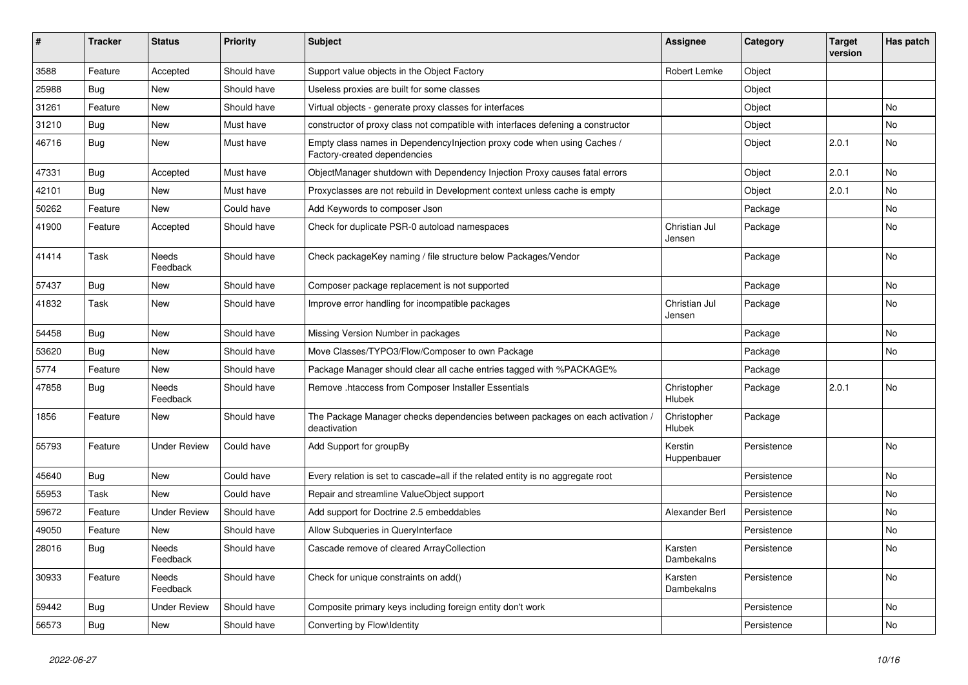| ∦     | <b>Tracker</b> | <b>Status</b>       | <b>Priority</b> | <b>Subject</b>                                                                                          | <b>Assignee</b>         | Category    | <b>Target</b><br>version | Has patch |
|-------|----------------|---------------------|-----------------|---------------------------------------------------------------------------------------------------------|-------------------------|-------------|--------------------------|-----------|
| 3588  | Feature        | Accepted            | Should have     | Support value objects in the Object Factory                                                             | <b>Robert Lemke</b>     | Object      |                          |           |
| 25988 | <b>Bug</b>     | <b>New</b>          | Should have     | Useless proxies are built for some classes                                                              |                         | Object      |                          |           |
| 31261 | Feature        | New                 | Should have     | Virtual objects - generate proxy classes for interfaces                                                 |                         | Object      |                          | No        |
| 31210 | Bug            | New                 | Must have       | constructor of proxy class not compatible with interfaces defening a constructor                        |                         | Object      |                          | No        |
| 46716 | <b>Bug</b>     | New                 | Must have       | Empty class names in Dependencylnjection proxy code when using Caches /<br>Factory-created dependencies |                         | Object      | 2.0.1                    | No        |
| 47331 | <b>Bug</b>     | Accepted            | Must have       | ObjectManager shutdown with Dependency Injection Proxy causes fatal errors                              |                         | Object      | 2.0.1                    | No        |
| 42101 | <b>Bug</b>     | New                 | Must have       | Proxyclasses are not rebuild in Development context unless cache is empty                               |                         | Object      | 2.0.1                    | No        |
| 50262 | Feature        | New                 | Could have      | Add Keywords to composer Json                                                                           |                         | Package     |                          | No        |
| 41900 | Feature        | Accepted            | Should have     | Check for duplicate PSR-0 autoload namespaces                                                           | Christian Jul<br>Jensen | Package     |                          | No        |
| 41414 | Task           | Needs<br>Feedback   | Should have     | Check packageKey naming / file structure below Packages/Vendor                                          |                         | Package     |                          | No        |
| 57437 | Bug            | New                 | Should have     | Composer package replacement is not supported                                                           |                         | Package     |                          | No        |
| 41832 | Task           | New                 | Should have     | Improve error handling for incompatible packages                                                        | Christian Jul<br>Jensen | Package     |                          | No        |
| 54458 | Bug            | New                 | Should have     | Missing Version Number in packages                                                                      |                         | Package     |                          | <b>No</b> |
| 53620 | <b>Bug</b>     | New                 | Should have     | Move Classes/TYPO3/Flow/Composer to own Package                                                         |                         | Package     |                          | No        |
| 5774  | Feature        | New                 | Should have     | Package Manager should clear all cache entries tagged with %PACKAGE%                                    |                         | Package     |                          |           |
| 47858 | Bug            | Needs<br>Feedback   | Should have     | Remove .htaccess from Composer Installer Essentials                                                     | Christopher<br>Hlubek   | Package     | 2.0.1                    | No        |
| 1856  | Feature        | New                 | Should have     | The Package Manager checks dependencies between packages on each activation /<br>deactivation           | Christopher<br>Hlubek   | Package     |                          |           |
| 55793 | Feature        | <b>Under Review</b> | Could have      | Add Support for groupBy                                                                                 | Kerstin<br>Huppenbauer  | Persistence |                          | No        |
| 45640 | Bug            | New                 | Could have      | Every relation is set to cascade=all if the related entity is no aggregate root                         |                         | Persistence |                          | No        |
| 55953 | Task           | <b>New</b>          | Could have      | Repair and streamline ValueObject support                                                               |                         | Persistence |                          | No        |
| 59672 | Feature        | <b>Under Review</b> | Should have     | Add support for Doctrine 2.5 embeddables                                                                | Alexander Berl          | Persistence |                          | No        |
| 49050 | Feature        | New                 | Should have     | Allow Subqueries in QueryInterface                                                                      |                         | Persistence |                          | No        |
| 28016 | Bug            | Needs<br>Feedback   | Should have     | Cascade remove of cleared ArrayCollection                                                               | Karsten<br>Dambekalns   | Persistence |                          | No        |
| 30933 | Feature        | Needs<br>Feedback   | Should have     | Check for unique constraints on add()                                                                   | Karsten<br>Dambekalns   | Persistence |                          | No        |
| 59442 | Bug            | <b>Under Review</b> | Should have     | Composite primary keys including foreign entity don't work                                              |                         | Persistence |                          | No        |
| 56573 | <b>Bug</b>     | New                 | Should have     | Converting by Flow\Identity                                                                             |                         | Persistence |                          | No        |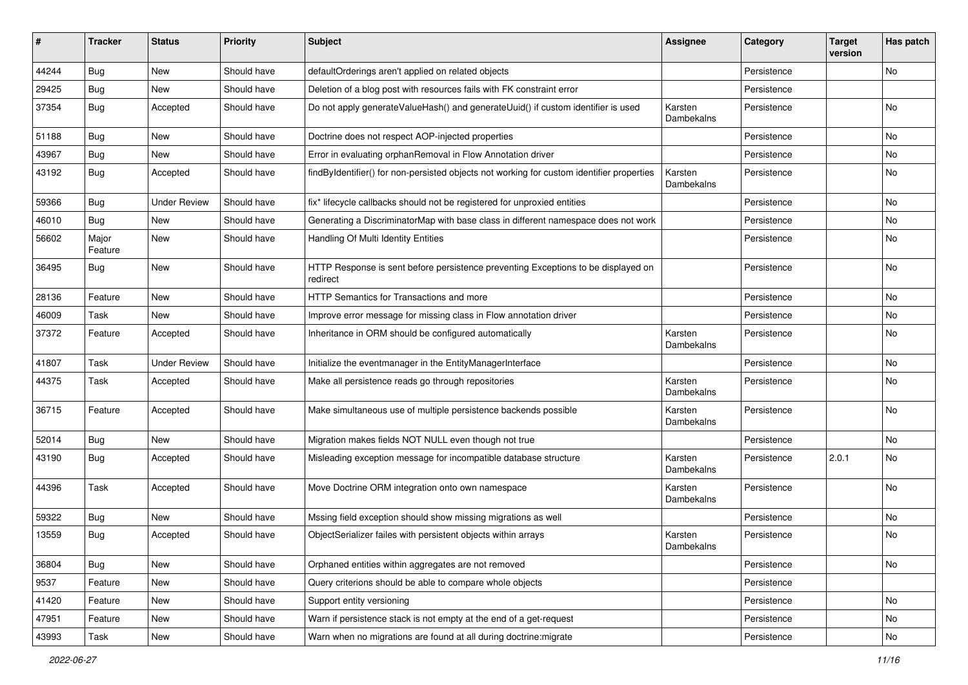| ∦     | <b>Tracker</b>   | <b>Status</b>       | <b>Priority</b> | <b>Subject</b>                                                                                | <b>Assignee</b>       | Category    | <b>Target</b><br>version | Has patch |
|-------|------------------|---------------------|-----------------|-----------------------------------------------------------------------------------------------|-----------------------|-------------|--------------------------|-----------|
| 44244 | Bug              | New                 | Should have     | defaultOrderings aren't applied on related objects                                            |                       | Persistence |                          | No        |
| 29425 | <b>Bug</b>       | New                 | Should have     | Deletion of a blog post with resources fails with FK constraint error                         |                       | Persistence |                          |           |
| 37354 | <b>Bug</b>       | Accepted            | Should have     | Do not apply generateValueHash() and generateUuid() if custom identifier is used              | Karsten<br>Dambekalns | Persistence |                          | No        |
| 51188 | Bug              | New                 | Should have     | Doctrine does not respect AOP-injected properties                                             |                       | Persistence |                          | No        |
| 43967 | Bug              | New                 | Should have     | Error in evaluating orphanRemoval in Flow Annotation driver                                   |                       | Persistence |                          | No        |
| 43192 | Bug              | Accepted            | Should have     | findByIdentifier() for non-persisted objects not working for custom identifier properties     | Karsten<br>Dambekalns | Persistence |                          | No        |
| 59366 | <b>Bug</b>       | <b>Under Review</b> | Should have     | fix* lifecycle callbacks should not be registered for unproxied entities                      |                       | Persistence |                          | <b>No</b> |
| 46010 | <b>Bug</b>       | <b>New</b>          | Should have     | Generating a DiscriminatorMap with base class in different namespace does not work            |                       | Persistence |                          | No        |
| 56602 | Major<br>Feature | New                 | Should have     | Handling Of Multi Identity Entities                                                           |                       | Persistence |                          | No        |
| 36495 | Bug              | New                 | Should have     | HTTP Response is sent before persistence preventing Exceptions to be displayed on<br>redirect |                       | Persistence |                          | No        |
| 28136 | Feature          | New                 | Should have     | <b>HTTP Semantics for Transactions and more</b>                                               |                       | Persistence |                          | <b>No</b> |
| 46009 | Task             | New                 | Should have     | Improve error message for missing class in Flow annotation driver                             |                       | Persistence |                          | No        |
| 37372 | Feature          | Accepted            | Should have     | Inheritance in ORM should be configured automatically                                         | Karsten<br>Dambekalns | Persistence |                          | No        |
| 41807 | Task             | <b>Under Review</b> | Should have     | Initialize the eventmanager in the EntityManagerInterface                                     |                       | Persistence |                          | No        |
| 44375 | Task             | Accepted            | Should have     | Make all persistence reads go through repositories                                            | Karsten<br>Dambekalns | Persistence |                          | No        |
| 36715 | Feature          | Accepted            | Should have     | Make simultaneous use of multiple persistence backends possible                               | Karsten<br>Dambekalns | Persistence |                          | No        |
| 52014 | Bug              | New                 | Should have     | Migration makes fields NOT NULL even though not true                                          |                       | Persistence |                          | No        |
| 43190 | <b>Bug</b>       | Accepted            | Should have     | Misleading exception message for incompatible database structure                              | Karsten<br>Dambekalns | Persistence | 2.0.1                    | No        |
| 44396 | Task             | Accepted            | Should have     | Move Doctrine ORM integration onto own namespace                                              | Karsten<br>Dambekalns | Persistence |                          | No        |
| 59322 | <b>Bug</b>       | New                 | Should have     | Mssing field exception should show missing migrations as well                                 |                       | Persistence |                          | No        |
| 13559 | Bug              | Accepted            | Should have     | ObjectSerializer failes with persistent objects within arrays                                 | Karsten<br>Dambekalns | Persistence |                          | No        |
| 36804 | Bug              | New                 | Should have     | Orphaned entities within aggregates are not removed                                           |                       | Persistence |                          | No        |
| 9537  | Feature          | New                 | Should have     | Query criterions should be able to compare whole objects                                      |                       | Persistence |                          |           |
| 41420 | Feature          | New                 | Should have     | Support entity versioning                                                                     |                       | Persistence |                          | No        |
| 47951 | Feature          | New                 | Should have     | Warn if persistence stack is not empty at the end of a get-request                            |                       | Persistence |                          | No        |
| 43993 | Task             | New                 | Should have     | Warn when no migrations are found at all during doctrine: migrate                             |                       | Persistence |                          | No        |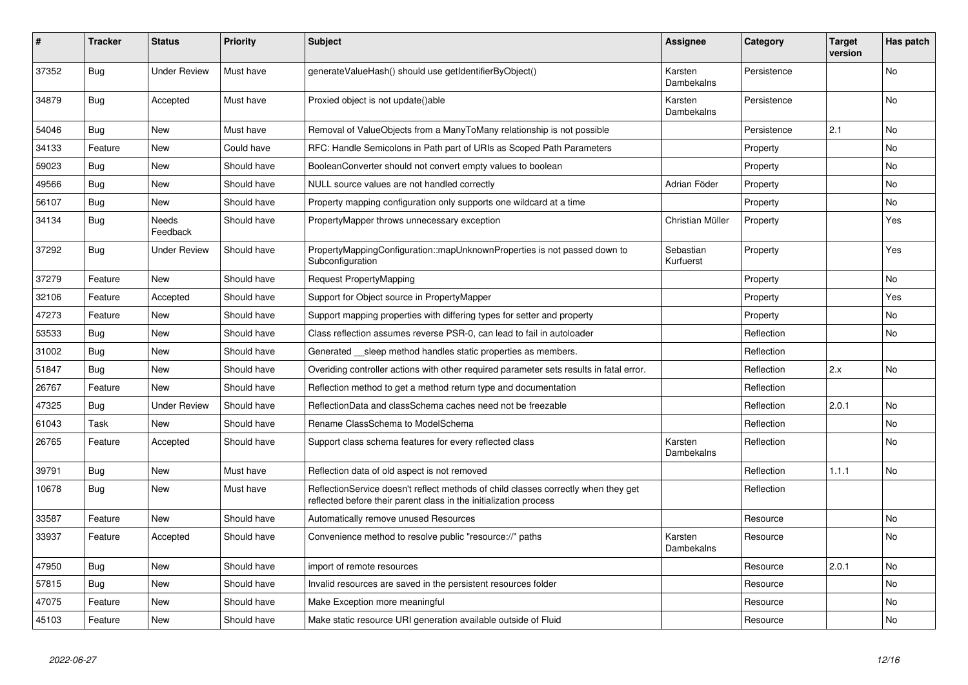| #     | <b>Tracker</b> | <b>Status</b>            | <b>Priority</b> | <b>Subject</b>                                                                                                                                          | Assignee                     | Category    | <b>Target</b><br>version | Has patch |
|-------|----------------|--------------------------|-----------------|---------------------------------------------------------------------------------------------------------------------------------------------------------|------------------------------|-------------|--------------------------|-----------|
| 37352 | <b>Bug</b>     | <b>Under Review</b>      | Must have       | generateValueHash() should use getIdentifierByObject()                                                                                                  | Karsten<br><b>Dambekalns</b> | Persistence |                          | <b>No</b> |
| 34879 | Bug            | Accepted                 | Must have       | Proxied object is not update()able                                                                                                                      | Karsten<br>Dambekalns        | Persistence |                          | No        |
| 54046 | <b>Bug</b>     | New                      | Must have       | Removal of ValueObjects from a ManyToMany relationship is not possible                                                                                  |                              | Persistence | 2.1                      | No        |
| 34133 | Feature        | <b>New</b>               | Could have      | RFC: Handle Semicolons in Path part of URIs as Scoped Path Parameters                                                                                   |                              | Property    |                          | No        |
| 59023 | Bug            | <b>New</b>               | Should have     | BooleanConverter should not convert empty values to boolean                                                                                             |                              | Property    |                          | No        |
| 49566 | Bug            | <b>New</b>               | Should have     | NULL source values are not handled correctly                                                                                                            | Adrian Föder                 | Property    |                          | <b>No</b> |
| 56107 | Bug            | <b>New</b>               | Should have     | Property mapping configuration only supports one wildcard at a time                                                                                     |                              | Property    |                          | No        |
| 34134 | <b>Bug</b>     | <b>Needs</b><br>Feedback | Should have     | PropertyMapper throws unnecessary exception                                                                                                             | Christian Müller             | Property    |                          | Yes       |
| 37292 | Bug            | <b>Under Review</b>      | Should have     | PropertyMappingConfiguration::mapUnknownProperties is not passed down to<br>Subconfiguration                                                            | Sebastian<br>Kurfuerst       | Property    |                          | Yes       |
| 37279 | Feature        | <b>New</b>               | Should have     | Request PropertyMapping                                                                                                                                 |                              | Property    |                          | No        |
| 32106 | Feature        | Accepted                 | Should have     | Support for Object source in PropertyMapper                                                                                                             |                              | Property    |                          | Yes       |
| 47273 | Feature        | <b>New</b>               | Should have     | Support mapping properties with differing types for setter and property                                                                                 |                              | Property    |                          | No        |
| 53533 | Bug            | <b>New</b>               | Should have     | Class reflection assumes reverse PSR-0, can lead to fail in autoloader                                                                                  |                              | Reflection  |                          | No        |
| 31002 | Bug            | <b>New</b>               | Should have     | Generated sleep method handles static properties as members.                                                                                            |                              | Reflection  |                          |           |
| 51847 | <b>Bug</b>     | New                      | Should have     | Overiding controller actions with other required parameter sets results in fatal error.                                                                 |                              | Reflection  | 2.x                      | <b>No</b> |
| 26767 | Feature        | <b>New</b>               | Should have     | Reflection method to get a method return type and documentation                                                                                         |                              | Reflection  |                          |           |
| 47325 | Bug            | <b>Under Review</b>      | Should have     | ReflectionData and classSchema caches need not be freezable                                                                                             |                              | Reflection  | 2.0.1                    | No        |
| 61043 | Task           | <b>New</b>               | Should have     | Rename ClassSchema to ModelSchema                                                                                                                       |                              | Reflection  |                          | No        |
| 26765 | Feature        | Accepted                 | Should have     | Support class schema features for every reflected class                                                                                                 | Karsten<br>Dambekalns        | Reflection  |                          | <b>No</b> |
| 39791 | <b>Bug</b>     | <b>New</b>               | Must have       | Reflection data of old aspect is not removed                                                                                                            |                              | Reflection  | 1.1.1                    | No        |
| 10678 | <b>Bug</b>     | New                      | Must have       | ReflectionService doesn't reflect methods of child classes correctly when they get<br>reflected before their parent class in the initialization process |                              | Reflection  |                          |           |
| 33587 | Feature        | <b>New</b>               | Should have     | Automatically remove unused Resources                                                                                                                   |                              | Resource    |                          | <b>No</b> |
| 33937 | Feature        | Accepted                 | Should have     | Convenience method to resolve public "resource://" paths                                                                                                | Karsten<br>Dambekalns        | Resource    |                          | <b>No</b> |
| 47950 | <b>Bug</b>     | <b>New</b>               | Should have     | import of remote resources                                                                                                                              |                              | Resource    | 2.0.1                    | <b>No</b> |
| 57815 | Bug            | <b>New</b>               | Should have     | Invalid resources are saved in the persistent resources folder                                                                                          |                              | Resource    |                          | No        |
| 47075 | Feature        | <b>New</b>               | Should have     | Make Exception more meaningful                                                                                                                          |                              | Resource    |                          | <b>No</b> |
| 45103 | Feature        | <b>New</b>               | Should have     | Make static resource URI generation available outside of Fluid                                                                                          |                              | Resource    |                          | No        |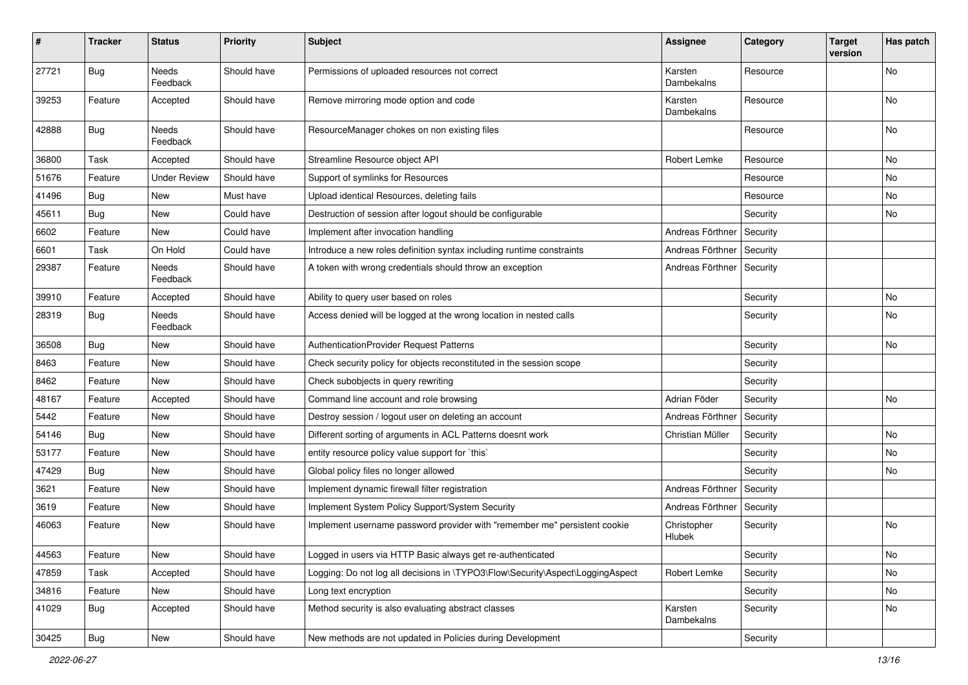| $\vert$ # | <b>Tracker</b> | <b>Status</b>       | <b>Priority</b> | <b>Subject</b>                                                                 | <b>Assignee</b>       | Category | <b>Target</b><br>version | Has patch |
|-----------|----------------|---------------------|-----------------|--------------------------------------------------------------------------------|-----------------------|----------|--------------------------|-----------|
| 27721     | Bug            | Needs<br>Feedback   | Should have     | Permissions of uploaded resources not correct                                  | Karsten<br>Dambekalns | Resource |                          | <b>No</b> |
| 39253     | Feature        | Accepted            | Should have     | Remove mirroring mode option and code                                          | Karsten<br>Dambekalns | Resource |                          | No        |
| 42888     | <b>Bug</b>     | Needs<br>Feedback   | Should have     | ResourceManager chokes on non existing files                                   |                       | Resource |                          | No        |
| 36800     | Task           | Accepted            | Should have     | Streamline Resource object API                                                 | <b>Robert Lemke</b>   | Resource |                          | No        |
| 51676     | Feature        | <b>Under Review</b> | Should have     | Support of symlinks for Resources                                              |                       | Resource |                          | No        |
| 41496     | Bug            | New                 | Must have       | Upload identical Resources, deleting fails                                     |                       | Resource |                          | No        |
| 45611     | Bug            | New                 | Could have      | Destruction of session after logout should be configurable                     |                       | Security |                          | No        |
| 6602      | Feature        | New                 | Could have      | Implement after invocation handling                                            | Andreas Förthner      | Security |                          |           |
| 6601      | Task           | On Hold             | Could have      | Introduce a new roles definition syntax including runtime constraints          | Andreas Förthner      | Security |                          |           |
| 29387     | Feature        | Needs<br>Feedback   | Should have     | A token with wrong credentials should throw an exception                       | Andreas Förthner      | Security |                          |           |
| 39910     | Feature        | Accepted            | Should have     | Ability to query user based on roles                                           |                       | Security |                          | No        |
| 28319     | <b>Bug</b>     | Needs<br>Feedback   | Should have     | Access denied will be logged at the wrong location in nested calls             |                       | Security |                          | No        |
| 36508     | Bug            | New                 | Should have     | <b>AuthenticationProvider Request Patterns</b>                                 |                       | Security |                          | No        |
| 8463      | Feature        | New                 | Should have     | Check security policy for objects reconstituted in the session scope           |                       | Security |                          |           |
| 8462      | Feature        | New                 | Should have     | Check subobjects in query rewriting                                            |                       | Security |                          |           |
| 48167     | Feature        | Accepted            | Should have     | Command line account and role browsing                                         | Adrian Föder          | Security |                          | No        |
| 5442      | Feature        | New                 | Should have     | Destroy session / logout user on deleting an account                           | Andreas Förthner      | Security |                          |           |
| 54146     | <b>Bug</b>     | New                 | Should have     | Different sorting of arguments in ACL Patterns doesnt work                     | Christian Müller      | Security |                          | No        |
| 53177     | Feature        | New                 | Should have     | entity resource policy value support for `this`                                |                       | Security |                          | No        |
| 47429     | Bug            | New                 | Should have     | Global policy files no longer allowed                                          |                       | Security |                          | No        |
| 3621      | Feature        | New                 | Should have     | Implement dynamic firewall filter registration                                 | Andreas Förthner      | Security |                          |           |
| 3619      | Feature        | New                 | Should have     | Implement System Policy Support/System Security                                | Andreas Förthner      | Security |                          |           |
| 46063     | Feature        | New                 | Should have     | Implement username password provider with "remember me" persistent cookie      | Christopher<br>Hlubek | Security |                          | No        |
| 44563     | Feature        | New                 | Should have     | Logged in users via HTTP Basic always get re-authenticated                     |                       | Security |                          | No        |
| 47859     | Task           | Accepted            | Should have     | Logging: Do not log all decisions in \TYPO3\Flow\Security\Aspect\LoggingAspect | Robert Lemke          | Security |                          | No        |
| 34816     | Feature        | New                 | Should have     | Long text encryption                                                           |                       | Security |                          | No        |
| 41029     | Bug            | Accepted            | Should have     | Method security is also evaluating abstract classes                            | Karsten<br>Dambekalns | Security |                          | No        |
| 30425     | Bug            | New                 | Should have     | New methods are not updated in Policies during Development                     |                       | Security |                          |           |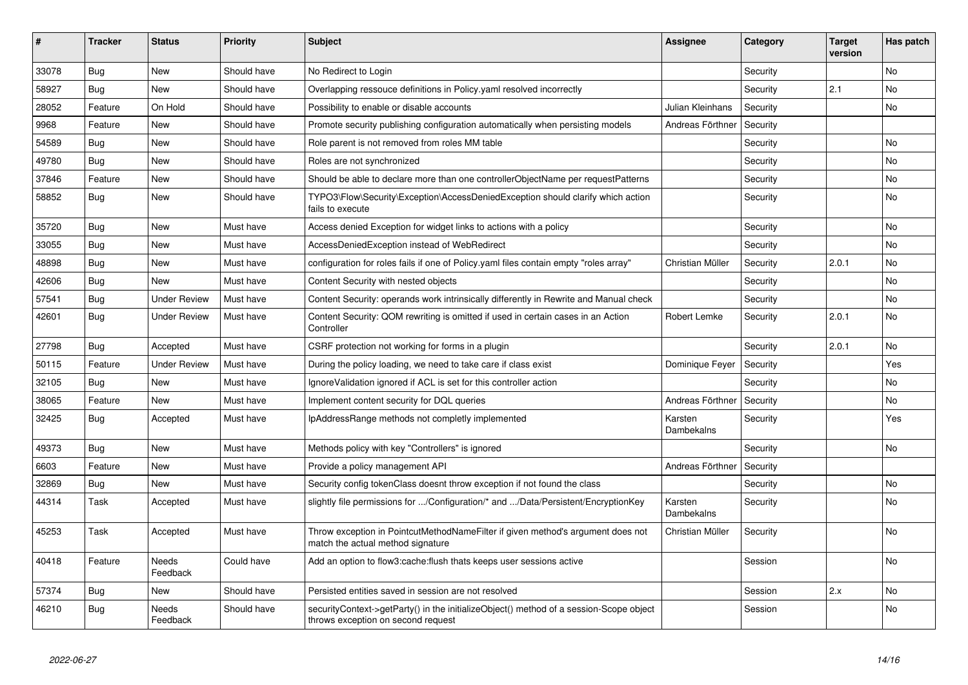| #     | <b>Tracker</b> | <b>Status</b>       | <b>Priority</b> | <b>Subject</b>                                                                                                               | Assignee              | Category | <b>Target</b><br>version | Has patch      |
|-------|----------------|---------------------|-----------------|------------------------------------------------------------------------------------------------------------------------------|-----------------------|----------|--------------------------|----------------|
| 33078 | Bug            | <b>New</b>          | Should have     | No Redirect to Login                                                                                                         |                       | Security |                          | <b>No</b>      |
| 58927 | Bug            | New                 | Should have     | Overlapping ressouce definitions in Policy yaml resolved incorrectly                                                         |                       | Security | 2.1                      | No             |
| 28052 | Feature        | On Hold             | Should have     | Possibility to enable or disable accounts                                                                                    | Julian Kleinhans      | Security |                          | No             |
| 9968  | Feature        | <b>New</b>          | Should have     | Promote security publishing configuration automatically when persisting models                                               | Andreas Förthner      | Security |                          |                |
| 54589 | Bug            | New                 | Should have     | Role parent is not removed from roles MM table                                                                               |                       | Security |                          | <b>No</b>      |
| 49780 | Bug            | <b>New</b>          | Should have     | Roles are not synchronized                                                                                                   |                       | Security |                          | <b>No</b>      |
| 37846 | Feature        | New                 | Should have     | Should be able to declare more than one controllerObjectName per requestPatterns                                             |                       | Security |                          | No             |
| 58852 | Bug            | New                 | Should have     | TYPO3\Flow\Security\Exception\AccessDeniedException should clarify which action<br>fails to execute                          |                       | Security |                          | No             |
| 35720 | <b>Bug</b>     | <b>New</b>          | Must have       | Access denied Exception for widget links to actions with a policy                                                            |                       | Security |                          | No             |
| 33055 | <b>Bug</b>     | <b>New</b>          | Must have       | AccessDeniedException instead of WebRedirect                                                                                 |                       | Security |                          | <b>No</b>      |
| 48898 | <b>Bug</b>     | <b>New</b>          | Must have       | configuration for roles fails if one of Policy yaml files contain empty "roles array"                                        | Christian Müller      | Security | 2.0.1                    | <b>No</b>      |
| 42606 | Bug            | New                 | Must have       | Content Security with nested objects                                                                                         |                       | Security |                          | N <sub>o</sub> |
| 57541 | Bug            | <b>Under Review</b> | Must have       | Content Security: operands work intrinsically differently in Rewrite and Manual check                                        |                       | Security |                          | <b>No</b>      |
| 42601 | Bug            | <b>Under Review</b> | Must have       | Content Security: QOM rewriting is omitted if used in certain cases in an Action<br>Controller                               | Robert Lemke          | Security | 2.0.1                    | No             |
| 27798 | <b>Bug</b>     | Accepted            | Must have       | CSRF protection not working for forms in a plugin                                                                            |                       | Security | 2.0.1                    | <b>No</b>      |
| 50115 | Feature        | <b>Under Review</b> | Must have       | During the policy loading, we need to take care if class exist                                                               | Dominique Feyer       | Security |                          | Yes            |
| 32105 | <b>Bug</b>     | <b>New</b>          | Must have       | IgnoreValidation ignored if ACL is set for this controller action                                                            |                       | Security |                          | N <sub>o</sub> |
| 38065 | Feature        | New                 | Must have       | Implement content security for DQL queries                                                                                   | Andreas Förthner      | Security |                          | No             |
| 32425 | Bug            | Accepted            | Must have       | IpAddressRange methods not completly implemented                                                                             | Karsten<br>Dambekalns | Security |                          | Yes            |
| 49373 | Bug            | <b>New</b>          | Must have       | Methods policy with key "Controllers" is ignored                                                                             |                       | Security |                          | <b>No</b>      |
| 6603  | Feature        | <b>New</b>          | Must have       | Provide a policy management API                                                                                              | Andreas Förthner      | Security |                          |                |
| 32869 | <b>Bug</b>     | <b>New</b>          | Must have       | Security config tokenClass doesnt throw exception if not found the class                                                     |                       | Security |                          | No             |
| 44314 | Task           | Accepted            | Must have       | slightly file permissions for /Configuration/* and /Data/Persistent/EncryptionKey                                            | Karsten<br>Dambekalns | Security |                          | <b>No</b>      |
| 45253 | Task           | Accepted            | Must have       | Throw exception in PointcutMethodNameFilter if given method's argument does not<br>match the actual method signature         | Christian Müller      | Security |                          | <b>No</b>      |
| 40418 | Feature        | Needs<br>Feedback   | Could have      | Add an option to flow3:cache:flush thats keeps user sessions active                                                          |                       | Session  |                          | No             |
| 57374 | Bug            | <b>New</b>          | Should have     | Persisted entities saved in session are not resolved                                                                         |                       | Session  | 2.x                      | <b>No</b>      |
| 46210 | Bug            | Needs<br>Feedback   | Should have     | securityContext->getParty() in the initializeObject() method of a session-Scope object<br>throws exception on second request |                       | Session  |                          | No             |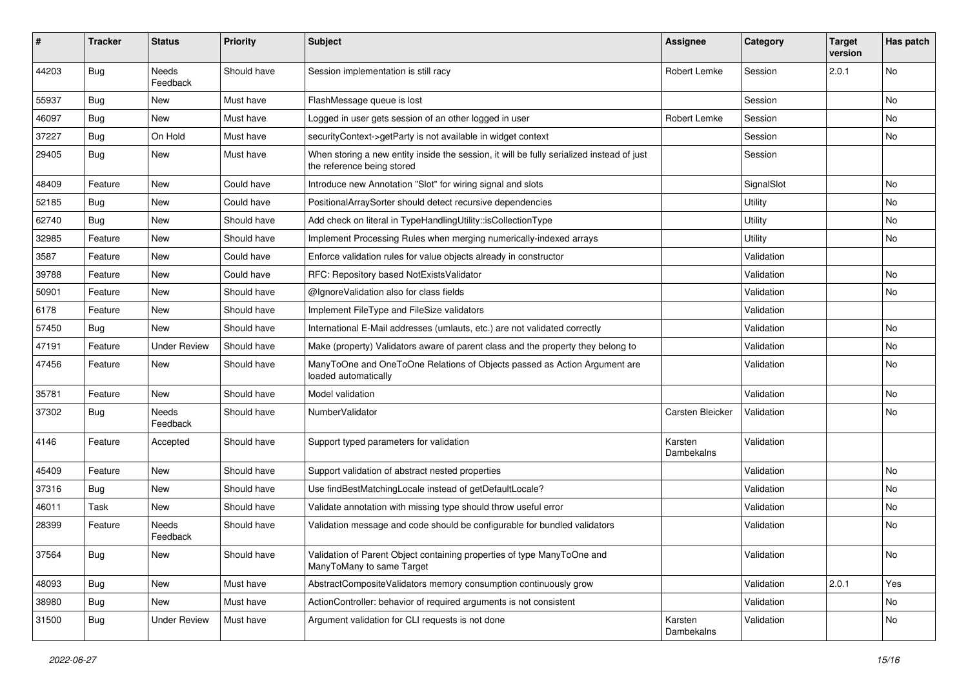| #     | <b>Tracker</b> | <b>Status</b>            | <b>Priority</b> | <b>Subject</b>                                                                                                          | <b>Assignee</b>       | Category   | <b>Target</b><br>version | Has patch |
|-------|----------------|--------------------------|-----------------|-------------------------------------------------------------------------------------------------------------------------|-----------------------|------------|--------------------------|-----------|
| 44203 | Bug            | Needs<br>Feedback        | Should have     | Session implementation is still racy                                                                                    | <b>Robert Lemke</b>   | Session    | 2.0.1                    | No        |
| 55937 | <b>Bug</b>     | New                      | Must have       | FlashMessage queue is lost                                                                                              |                       | Session    |                          | No        |
| 46097 | <b>Bug</b>     | <b>New</b>               | Must have       | Logged in user gets session of an other logged in user                                                                  | <b>Robert Lemke</b>   | Session    |                          | No        |
| 37227 | Bug            | On Hold                  | Must have       | securityContext->getParty is not available in widget context                                                            |                       | Session    |                          | No        |
| 29405 | Bug            | New                      | Must have       | When storing a new entity inside the session, it will be fully serialized instead of just<br>the reference being stored |                       | Session    |                          |           |
| 48409 | Feature        | New                      | Could have      | Introduce new Annotation "Slot" for wiring signal and slots                                                             |                       | SignalSlot |                          | No        |
| 52185 | <b>Bug</b>     | New                      | Could have      | PositionalArraySorter should detect recursive dependencies                                                              |                       | Utility    |                          | No        |
| 62740 | <b>Bug</b>     | New                      | Should have     | Add check on literal in TypeHandlingUtility::isCollectionType                                                           |                       | Utility    |                          | No        |
| 32985 | Feature        | New                      | Should have     | Implement Processing Rules when merging numerically-indexed arrays                                                      |                       | Utility    |                          | No        |
| 3587  | Feature        | New                      | Could have      | Enforce validation rules for value objects already in constructor                                                       |                       | Validation |                          |           |
| 39788 | Feature        | New                      | Could have      | RFC: Repository based NotExistsValidator                                                                                |                       | Validation |                          | No        |
| 50901 | Feature        | New                      | Should have     | @IgnoreValidation also for class fields                                                                                 |                       | Validation |                          | <b>No</b> |
| 6178  | Feature        | New                      | Should have     | Implement FileType and FileSize validators                                                                              |                       | Validation |                          |           |
| 57450 | <b>Bug</b>     | New                      | Should have     | International E-Mail addresses (umlauts, etc.) are not validated correctly                                              |                       | Validation |                          | No        |
| 47191 | Feature        | <b>Under Review</b>      | Should have     | Make (property) Validators aware of parent class and the property they belong to                                        |                       | Validation |                          | No        |
| 47456 | Feature        | New                      | Should have     | ManyToOne and OneToOne Relations of Objects passed as Action Argument are<br>loaded automatically                       |                       | Validation |                          | No        |
| 35781 | Feature        | New                      | Should have     | Model validation                                                                                                        |                       | Validation |                          | No        |
| 37302 | <b>Bug</b>     | Needs<br>Feedback        | Should have     | NumberValidator                                                                                                         | Carsten Bleicker      | Validation |                          | No        |
| 4146  | Feature        | Accepted                 | Should have     | Support typed parameters for validation                                                                                 | Karsten<br>Dambekalns | Validation |                          |           |
| 45409 | Feature        | New                      | Should have     | Support validation of abstract nested properties                                                                        |                       | Validation |                          | No        |
| 37316 | <b>Bug</b>     | New                      | Should have     | Use findBestMatchingLocale instead of getDefaultLocale?                                                                 |                       | Validation |                          | No        |
| 46011 | Task           | New                      | Should have     | Validate annotation with missing type should throw useful error                                                         |                       | Validation |                          | No        |
| 28399 | Feature        | <b>Needs</b><br>Feedback | Should have     | Validation message and code should be configurable for bundled validators                                               |                       | Validation |                          | No        |
| 37564 | <b>Bug</b>     | New                      | Should have     | Validation of Parent Object containing properties of type ManyToOne and<br>ManyToMany to same Target                    |                       | Validation |                          | No        |
| 48093 | <b>Bug</b>     | New                      | Must have       | AbstractCompositeValidators memory consumption continuously grow                                                        |                       | Validation | 2.0.1                    | Yes       |
| 38980 | <b>Bug</b>     | New                      | Must have       | ActionController: behavior of required arguments is not consistent                                                      |                       | Validation |                          | No        |
| 31500 | <b>Bug</b>     | <b>Under Review</b>      | Must have       | Argument validation for CLI requests is not done                                                                        | Karsten<br>Dambekalns | Validation |                          | No        |